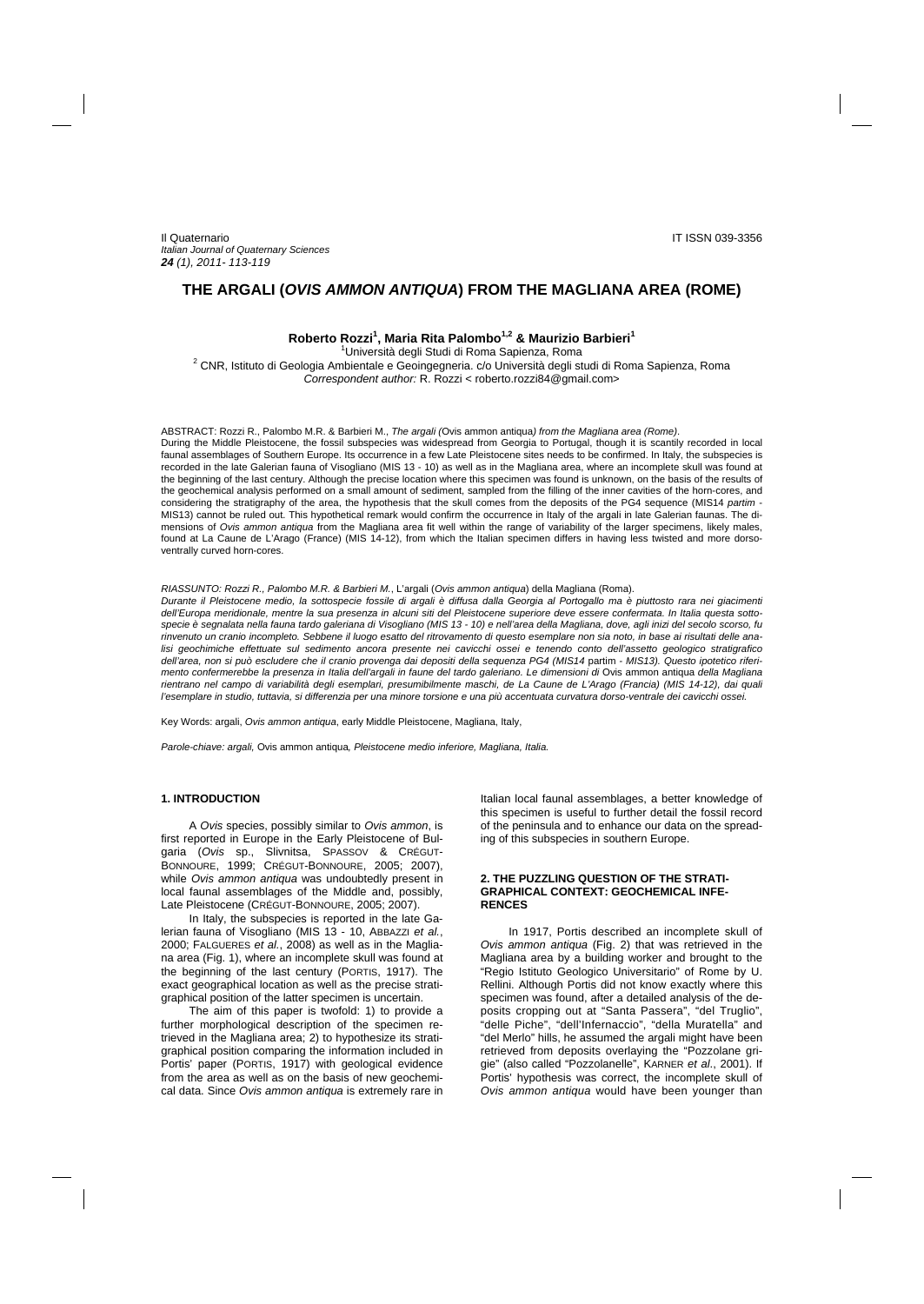# **THE ARGALI (***OVIS AMMON ANTIQUA***) FROM THE MAGLIANA AREA (ROME)**

**Roberto Rozzi<sup>1</sup> , Maria Rita Palombo1,2 & Maurizio Barbieri1**

Università degli Studi di Roma Sapienza, Roma Università degli Studi di Roma Sapienza, Roma 2 CNR, Istituto di Geologia Ambientale e Geoingegneria. c/o Università degli studi di Roma Sapienza, Roma *Correspondent author:* R. Rozzi < roberto.rozzi84@gmail.com>

ABSTRACT: Rozzi R., Palombo M.R. & Barbieri M., *The argali (*Ovis ammon antiqua*) from the Magliana area (Rome)*. During the Middle Pleistocene, the fossil subspecies was widespread from Georgia to Portugal, though it is scantily recorded in local faunal assemblages of Southern Europe. Its occurrence in a few Late Pleistocene sites needs to be confirmed. In Italy, the subspecies is recorded in the late Galerian fauna of Visogliano (MIS 13 - 10) as well as in the Magliana area, where an incomplete skull was found at the beginning of the last century. Although the precise location where this specimen was found is unknown, on the basis of the results of the geochemical analysis performed on a small amount of sediment, sampled from the filling of the inner cavities of the horn-cores, and considering the stratigraphy of the area, the hypothesis that the skull comes from the deposits of the PG4 sequence (MIS14 *partim* - MIS13) cannot be ruled out. This hypothetical remark would confirm the occurrence in Italy of the argali in late Galerian faunas. The dimensions of *Ovis ammon antiqua* from the Magliana area fit well within the range of variability of the larger specimens, likely males, found at La Caune de L'Arago (France) (MIS 14-12), from which the Italian specimen differs in having less twisted and more dorsoventrally curved horn-cores.

#### *RIASSUNTO: Rozzi R., Palombo M.R. & Barbieri M.*, L'argali (*Ovis ammon antiqua*) della Magliana (Roma).

*Durante il Pleistocene medio, la sottospecie fossile di argali è diffusa dalla Georgia al Portogallo ma è piuttosto rara nei giacimenti dell'Europa meridionale, mentre la sua presenza in alcuni siti del Pleistocene superiore deve essere confermata. In Italia questa sottospecie è segnalata nella fauna tardo galeriana di Visogliano (MIS 13 - 10) e nell'area della Magliana, dove, agli inizi del secolo scorso, fu rinvenuto un cranio incompleto. Sebbene il luogo esatto del ritrovamento di questo esemplare non sia noto, in base ai risultati delle analisi geochimiche effettuate sul sedimento ancora presente nei cavicchi ossei e tenendo conto dell'assetto geologico stratigrafico dell'area, non si può escludere che il cranio provenga dai depositi della sequenza PG4 (MIS14* partim *- MIS13). Questo ipotetico riferimento confermerebbe la presenza in Italia dell'argali in faune del tardo galeriano. Le dimensioni di* Ovis ammon antiqua *della Magliana rientrano nel campo di variabilità degli esemplari, presumibilmente maschi, de La Caune de L'Arago (Francia) (MIS 14-12), dai quali*  l'esemplare in studio, tuttavia, si differenzia per una minore torsione e una più accentuata curvatura dorso-ventrale dei cavicchi ossei.

Key Words: argali, *Ovis ammon antiqua*, early Middle Pleistocene, Magliana, Italy,

*Parole-chiave: argali,* Ovis ammon antiqua*, Pleistocene medio inferiore, Magliana, Italia.* 

#### **1. INTRODUCTION**

A *Ovis* species, possibly similar to *Ovis ammon*, is first reported in Europe in the Early Pleistocene of Bulgaria (*Ovis* sp., Slivnitsa, SPASSOV & CRÉGUT-BONNOURE, 1999; CRÉGUT-BONNOURE, 2005; 2007), while *Ovis ammon antiqua* was undoubtedly present in local faunal assemblages of the Middle and, possibly, Late Pleistocene (CRÉGUT-BONNOURE, 2005; 2007).

In Italy, the subspecies is reported in the late Galerian fauna of Visogliano (MIS 13 - 10, ABBAZZI *et al.*, 2000; FALGUERES *et al.*, 2008) as well as in the Magliana area (Fig. 1), where an incomplete skull was found at the beginning of the last century (PORTIS, 1917). The exact geographical location as well as the precise stratigraphical position of the latter specimen is uncertain.

The aim of this paper is twofold: 1) to provide a further morphological description of the specimen retrieved in the Magliana area; 2) to hypothesize its stratigraphical position comparing the information included in Portis' paper (PORTIS, 1917) with geological evidence from the area as well as on the basis of new geochemical data. Since *Ovis ammon antiqua* is extremely rare in

Italian local faunal assemblages, a better knowledge of this specimen is useful to further detail the fossil record of the peninsula and to enhance our data on the spreading of this subspecies in southern Europe.

### **2. THE PUZZLING QUESTION OF THE STRATI-GRAPHICAL CONTEXT: GEOCHEMICAL INFE-RENCES**

In 1917, Portis described an incomplete skull of *Ovis ammon antiqua* (Fig. 2) that was retrieved in the Magliana area by a building worker and brought to the "Regio Istituto Geologico Universitario" of Rome by U. Rellini. Although Portis did not know exactly where this specimen was found, after a detailed analysis of the deposits cropping out at "Santa Passera", "del Truglio", "delle Piche", "dell'Infernaccio", "della Muratella" and "del Merlo" hills, he assumed the argali might have been retrieved from deposits overlaying the "Pozzolane grigie" (also called "Pozzolanelle", KARNER *et al*., 2001). If Portis' hypothesis was correct, the incomplete skull of *Ovis ammon antiqua* would have been younger than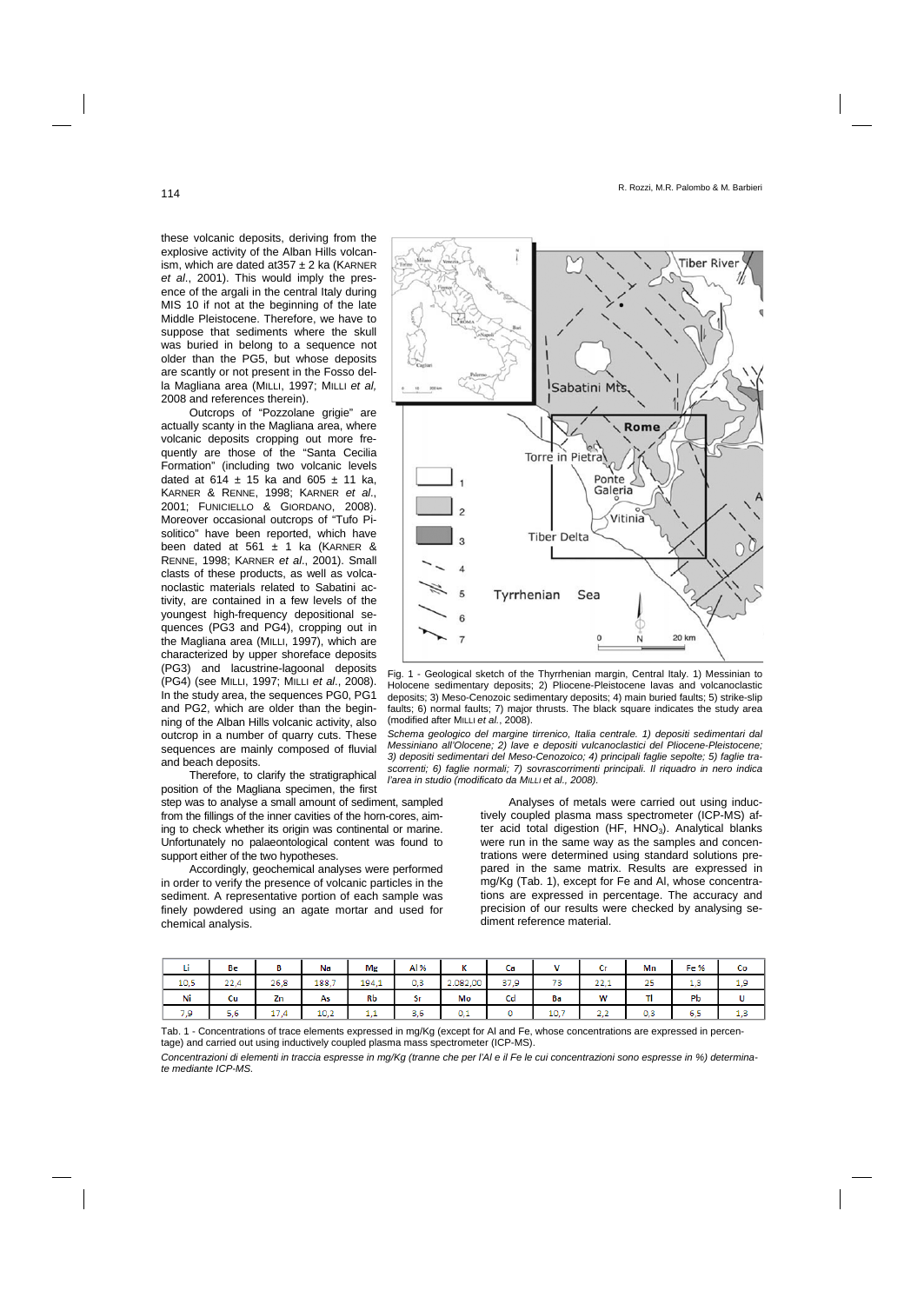these volcanic deposits, deriving from the explosive activity of the Alban Hills volcanism, which are dated at  $357 \pm 2$  ka (KARNER *et al*., 2001). This would imply the presence of the argali in the central Italy during MIS 10 if not at the beginning of the late Middle Pleistocene. Therefore, we have to suppose that sediments where the skull was buried in belong to a sequence not older than the PG5, but whose deposits are scantly or not present in the Fosso della Magliana area (MILLI, 1997; MILLI *et al,* 2008 and references therein).

Outcrops of "Pozzolane grigie" are actually scanty in the Magliana area, where volcanic deposits cropping out more frequently are those of the "Santa Cecilia Formation" (including two volcanic levels dated at 614  $\pm$  15 ka and 605  $\pm$  11 ka, KARNER & RENNE, 1998; KARNER *et al*., 2001; FUNICIELLO & GIORDANO, 2008). Moreover occasional outcrops of "Tufo Pisolitico" have been reported, which have been dated at 561  $\pm$  1 ka (KARNER & RENNE, 1998; KARNER *et al*., 2001). Small clasts of these products, as well as volcanoclastic materials related to Sabatini activity, are contained in a few levels of the youngest high-frequency depositional sequences (PG3 and PG4), cropping out in the Magliana area (MILLI, 1997), which are characterized by upper shoreface deposits (PG3) and lacustrine-lagoonal deposits (PG4) (see MILLI, 1997; MILLI *et al*., 2008). In the study area, the sequences PG0, PG1 and PG2, which are older than the beginning of the Alban Hills volcanic activity, also outcrop in a number of quarry cuts. These sequences are mainly composed of fluvial and beach deposits.

Therefore, to clarify the stratigraphical position of the Magliana specimen, the first

step was to analyse a small amount of sediment, sampled from the fillings of the inner cavities of the horn-cores, aiming to check whether its origin was continental or marine. Unfortunately no palaeontological content was found to support either of the two hypotheses.

Accordingly, geochemical analyses were performed in order to verify the presence of volcanic particles in the sediment. A representative portion of each sample was finely powdered using an agate mortar and used for chemical analysis.





*Schema geologico del margine tirrenico, Italia centrale. 1) depositi sedimentari dal Messiniano all'Olocene; 2) lave e depositi vulcanoclastici del Pliocene-Pleistocene; 3) depositi sedimentari del Meso-Cenozoico; 4) principali faglie sepolte; 5) faglie trascorrenti; 6) faglie normali; 7) sovrascorrimenti principali. Il riquadro in nero indica l'area in studio (modificato da MILLI et al., 2008).* 

> Analyses of metals were carried out using inductively coupled plasma mass spectrometer (ICP-MS) after acid total digestion (HF, HNO<sub>3</sub>). Analytical blanks were run in the same way as the samples and concentrations were determined using standard solutions prepared in the same matrix. Results are expressed in mg/Kg (Tab. 1), except for Fe and Al, whose concentrations are expressed in percentage. The accuracy and precision of our results were checked by analysing sediment reference material.

|      | Be   |             | Na    | Mg    | Al % | $\overline{1}$<br>$\mathbf{v}$ | Сa   |      | u                    | Mn  | Fe %                            | Co  |
|------|------|-------------|-------|-------|------|--------------------------------|------|------|----------------------|-----|---------------------------------|-----|
| 10,5 | 22,4 | 26.8        | 188.7 | 194.1 | 0,3  | 2.082,00                       | 37,9 | 73   | <b>COLOR</b><br>22.1 | 25  | $\overline{\phantom{a}}$<br>درد | 1,9 |
| Ni   | Cu   | Zn          | As    | Rb    | Sr   | Mo                             | Cd   | Ba   | W                    |     | Pb                              | υ   |
| 7.9  | 5.6  | .7.4<br>. . | 10.2  | .     | 3.6  | 0.1                            |      | 10,7 | פ פ<br>              | 0.3 | 6,5                             | 1,5 |

Tab. 1 - Concentrations of trace elements expressed in mg/Kg (except for Al and Fe, whose concentrations are expressed in percentage) and carried out using inductively coupled plasma mass spectrometer (ICP-MS).

*Concentrazioni di elementi in traccia espresse in mg/Kg (tranne che per l'Al e il Fe le cui concentrazioni sono espresse in %) determinate mediante ICP-MS.*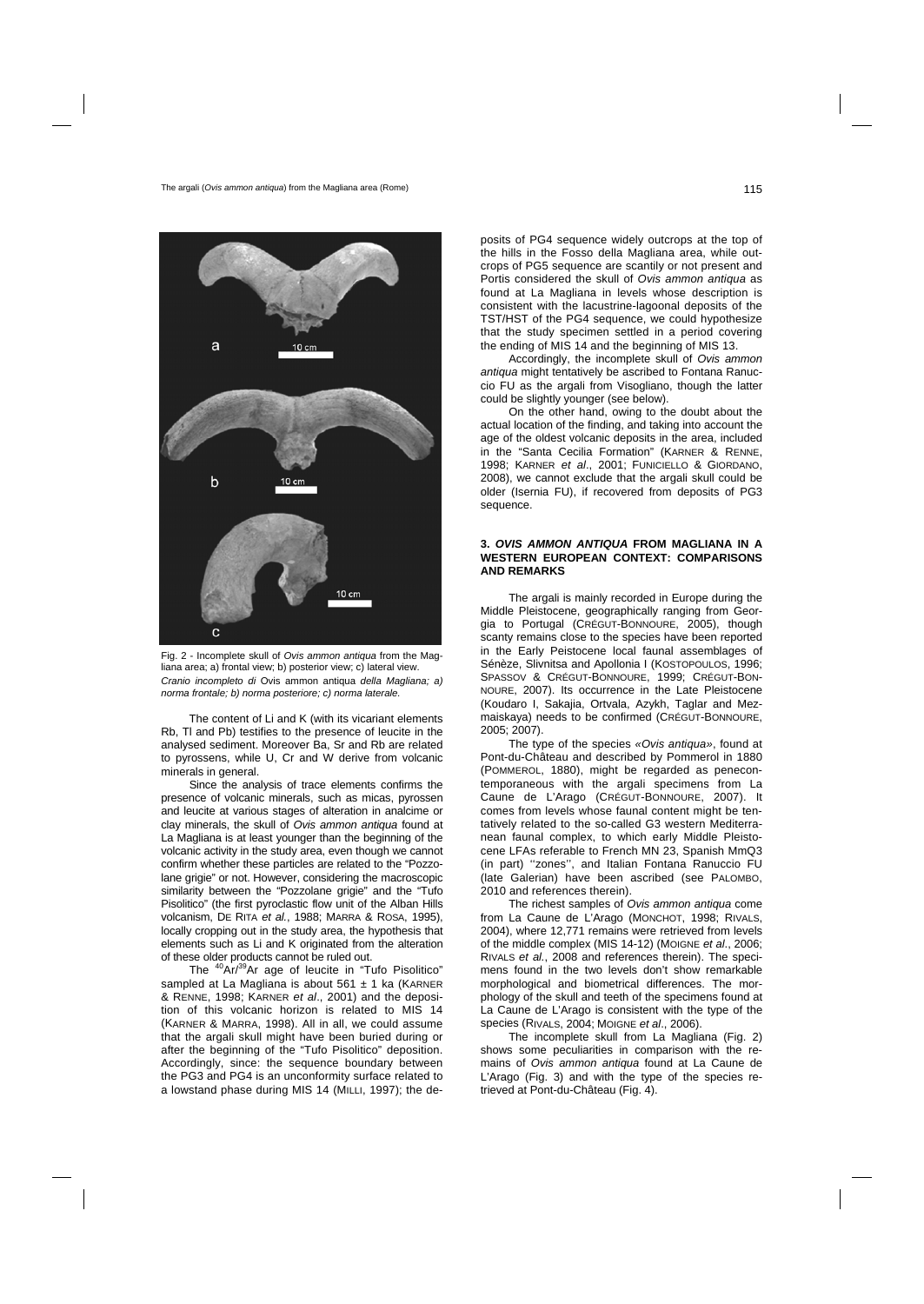



The content of Li and K (with its vicariant elements Rb, Tl and Pb) testifies to the presence of leucite in the analysed sediment. Moreover Ba, Sr and Rb are related to pyrossens, while U, Cr and W derive from volcanic minerals in general.

Since the analysis of trace elements confirms the presence of volcanic minerals, such as micas, pyrossen and leucite at various stages of alteration in analcime or clay minerals, the skull of *Ovis ammon antiqua* found at La Magliana is at least younger than the beginning of the volcanic activity in the study area, even though we cannot confirm whether these particles are related to the "Pozzolane grigie" or not. However, considering the macroscopic similarity between the "Pozzolane grigie" and the "Tufo Pisolitico" (the first pyroclastic flow unit of the Alban Hills volcanism, DE RITA *et al.*, 1988; MARRA & ROSA, 1995), locally cropping out in the study area, the hypothesis that elements such as Li and K originated from the alteration of these older products cannot be ruled out.

The <sup>40</sup>Ar/<sup>39</sup>Ar age of leucite in "Tufo Pisolitico" sampled at La Magliana is about 561  $\pm$  1 ka (KARNER & RENNE, 1998; KARNER *et al*., 2001) and the deposition of this volcanic horizon is related to MIS 14 (KARNER & MARRA, 1998). All in all, we could assume that the argali skull might have been buried during or after the beginning of the "Tufo Pisolitico" deposition. Accordingly, since: the sequence boundary between the PG3 and PG4 is an unconformity surface related to a lowstand phase during MIS 14 (MILLI, 1997); the de-

posits of PG4 sequence widely outcrops at the top of the hills in the Fosso della Magliana area, while outcrops of PG5 sequence are scantily or not present and Portis considered the skull of *Ovis ammon antiqua* as found at La Magliana in levels whose description is consistent with the lacustrine-lagoonal deposits of the TST/HST of the PG4 sequence, we could hypothesize that the study specimen settled in a period covering the ending of MIS 14 and the beginning of MIS 13.

Accordingly, the incomplete skull of *Ovis ammon antiqua* might tentatively be ascribed to Fontana Ranuccio FU as the argali from Visogliano, though the latter could be slightly younger (see below).

On the other hand, owing to the doubt about the actual location of the finding, and taking into account the age of the oldest volcanic deposits in the area, included in the "Santa Cecilia Formation" (KARNER & RENNE, 1998; KARNER *et al*., 2001; FUNICIELLO & GIORDANO, 2008), we cannot exclude that the argali skull could be older (Isernia FU), if recovered from deposits of PG3 sequence.

#### **3.** *OVIS AMMON ANTIQUA* **FROM MAGLIANA IN A WESTERN EUROPEAN CONTEXT: COMPARISONS AND REMARKS**

The argali is mainly recorded in Europe during the Middle Pleistocene, geographically ranging from Georgia to Portugal (CRÉGUT-BONNOURE, 2005), though scanty remains close to the species have been reported in the Early Peistocene local faunal assemblages of Sénèze, Slivnitsa and Apollonia I (KOSTOPOULOS, 1996; SPASSOV & CRÉGUT-BONNOURE, 1999; CRÉGUT-BON-NOURE, 2007). Its occurrence in the Late Pleistocene (Koudaro I, Sakajia, Ortvala, Azykh, Taglar and Mezmaiskaya) needs to be confirmed (CRÉGUT-BONNOURE, 2005; 2007).

The type of the species *«Ovis antiqua»*, found at Pont-du-Château and described by Pommerol in 1880 (POMMEROL, 1880), might be regarded as penecontemporaneous with the argali specimens from La Caune de L'Arago (CRÉGUT-BONNOURE, 2007). It comes from levels whose faunal content might be tentatively related to the so-called G3 western Mediterranean faunal complex, to which early Middle Pleistocene LFAs referable to French MN 23, Spanish MmQ3 (in part) ''zones'', and Italian Fontana Ranuccio FU (late Galerian) have been ascribed (see PALOMBO, 2010 and references therein).

The richest samples of *Ovis ammon antiqua* come from La Caune de L'Arago (MONCHOT, 1998; RIVALS, 2004), where 12,771 remains were retrieved from levels of the middle complex (MIS 14-12) (MOIGNE *et al*., 2006; RIVALS *et al.*, 2008 and references therein). The specimens found in the two levels don't show remarkable morphological and biometrical differences. The morphology of the skull and teeth of the specimens found at La Caune de L'Arago is consistent with the type of the species (RIVALS, 2004; MOIGNE *et al*., 2006).

The incomplete skull from La Magliana (Fig. 2) shows some peculiarities in comparison with the remains of *Ovis ammon antiqua* found at La Caune de L'Arago (Fig. 3) and with the type of the species retrieved at Pont-du-Château (Fig. 4).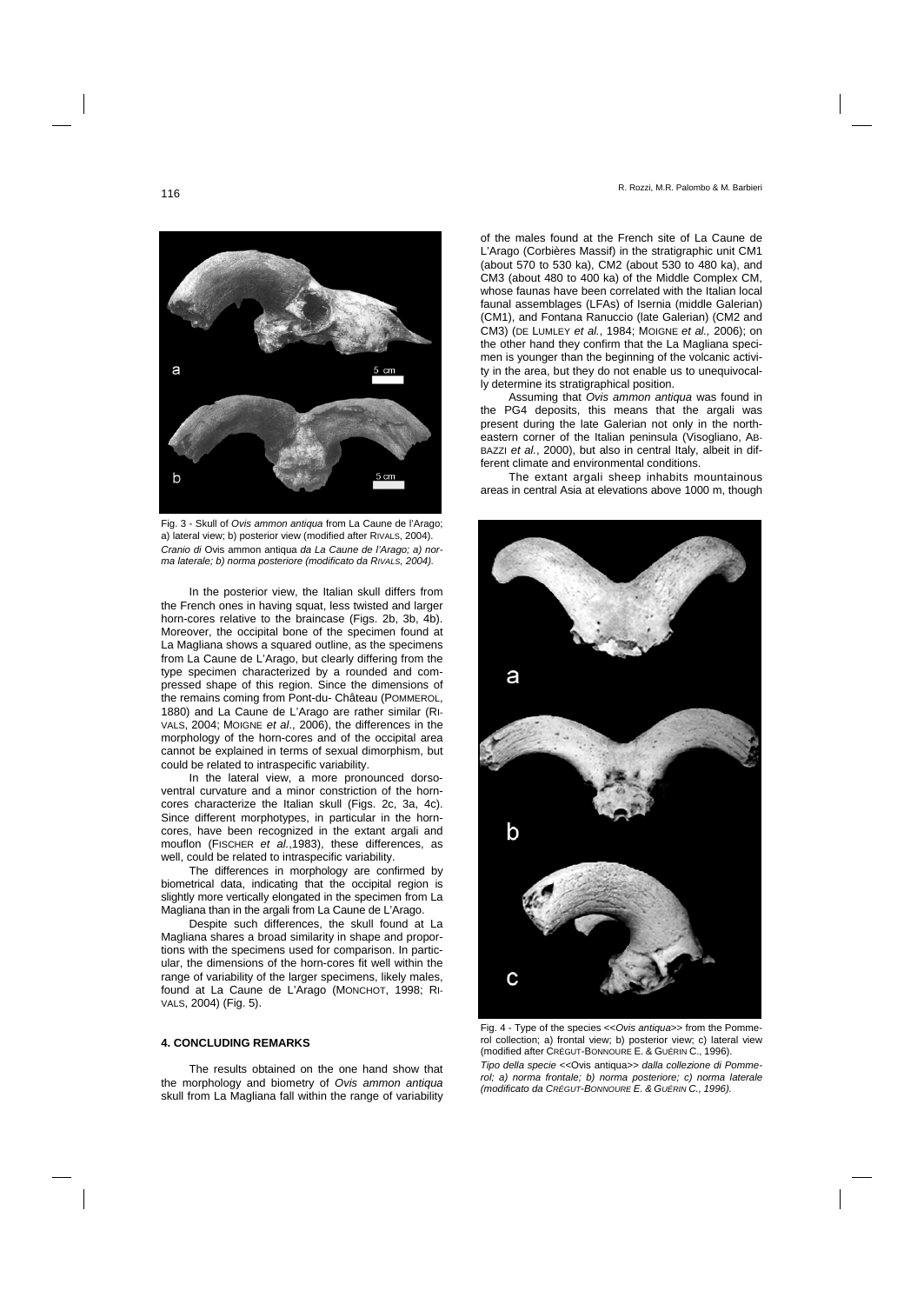of the males found at the French site of La Caune de L'Arago (Corbières Massif) in the stratigraphic unit CM1 (about 570 to 530 ka), CM2 (about 530 to 480 ka), and CM3 (about 480 to 400 ka) of the Middle Complex CM, whose faunas have been correlated with the Italian local faunal assemblages (LFAs) of Isernia (middle Galerian) (CM1), and Fontana Ranuccio (late Galerian) (CM2 and CM3) (DE LUMLEY *et al.*, 1984; MOIGNE *et al.,* 2006); on the other hand they confirm that the La Magliana specimen is younger than the beginning of the volcanic activity in the area, but they do not enable us to unequivocally determine its stratigraphical position.

Assuming that *Ovis ammon antiqua* was found in the PG4 deposits, this means that the argali was present during the late Galerian not only in the northeastern corner of the Italian peninsula (Visogliano, AB-BAZZI *et al.*, 2000), but also in central Italy, albeit in different climate and environmental conditions.

The extant argali sheep inhabits mountainous areas in central Asia at elevations above 1000 m, though



*Tipo della specie <<*Ovis antiqua*>> dalla collezione di Pommerol; a) norma frontale; b) norma posteriore; c) norma laterale (modificato da CRÉGUT-BONNOURE E. & GUÉRIN C., 1996).* 

Fig. 3 - Skull of *Ovis ammon antiqua* from La Caune de l'Arago; a) lateral view; b) posterior view (modified after RIVALS, 2004). *Cranio di* Ovis ammon antiqua *da La Caune de l'Arago; a) norma laterale; b) norma posteriore (modificato da RIVALS, 2004).* 

In the posterior view, the Italian skull differs from the French ones in having squat, less twisted and larger horn-cores relative to the braincase (Figs. 2b, 3b, 4b). Moreover, the occipital bone of the specimen found at La Magliana shows a squared outline, as the specimens from La Caune de L'Arago, but clearly differing from the type specimen characterized by a rounded and compressed shape of this region. Since the dimensions of the remains coming from Pont-du- Château (POMMEROL, 1880) and La Caune de L'Arago are rather similar (RI-VALS, 2004; MOIGNE *et al*., 2006), the differences in the morphology of the horn-cores and of the occipital area cannot be explained in terms of sexual dimorphism, but could be related to intraspecific variability.

In the lateral view, a more pronounced dorsoventral curvature and a minor constriction of the horncores characterize the Italian skull (Figs. 2c, 3a, 4c). Since different morphotypes, in particular in the horncores, have been recognized in the extant argali and mouflon (FISCHER *et al.*,1983), these differences, as well, could be related to intraspecific variability.

The differences in morphology are confirmed by biometrical data, indicating that the occipital region is slightly more vertically elongated in the specimen from La Magliana than in the argali from La Caune de L'Arago.

Despite such differences, the skull found at La Magliana shares a broad similarity in shape and proportions with the specimens used for comparison. In particular, the dimensions of the horn-cores fit well within the range of variability of the larger specimens, likely males, found at La Caune de L'Arago (MONCHOT, 1998; RI-VALS, 2004) (Fig. 5).

# **4. CONCLUDING REMARKS**

The results obtained on the one hand show that the morphology and biometry of *Ovis ammon antiqua* skull from La Magliana fall within the range of variability



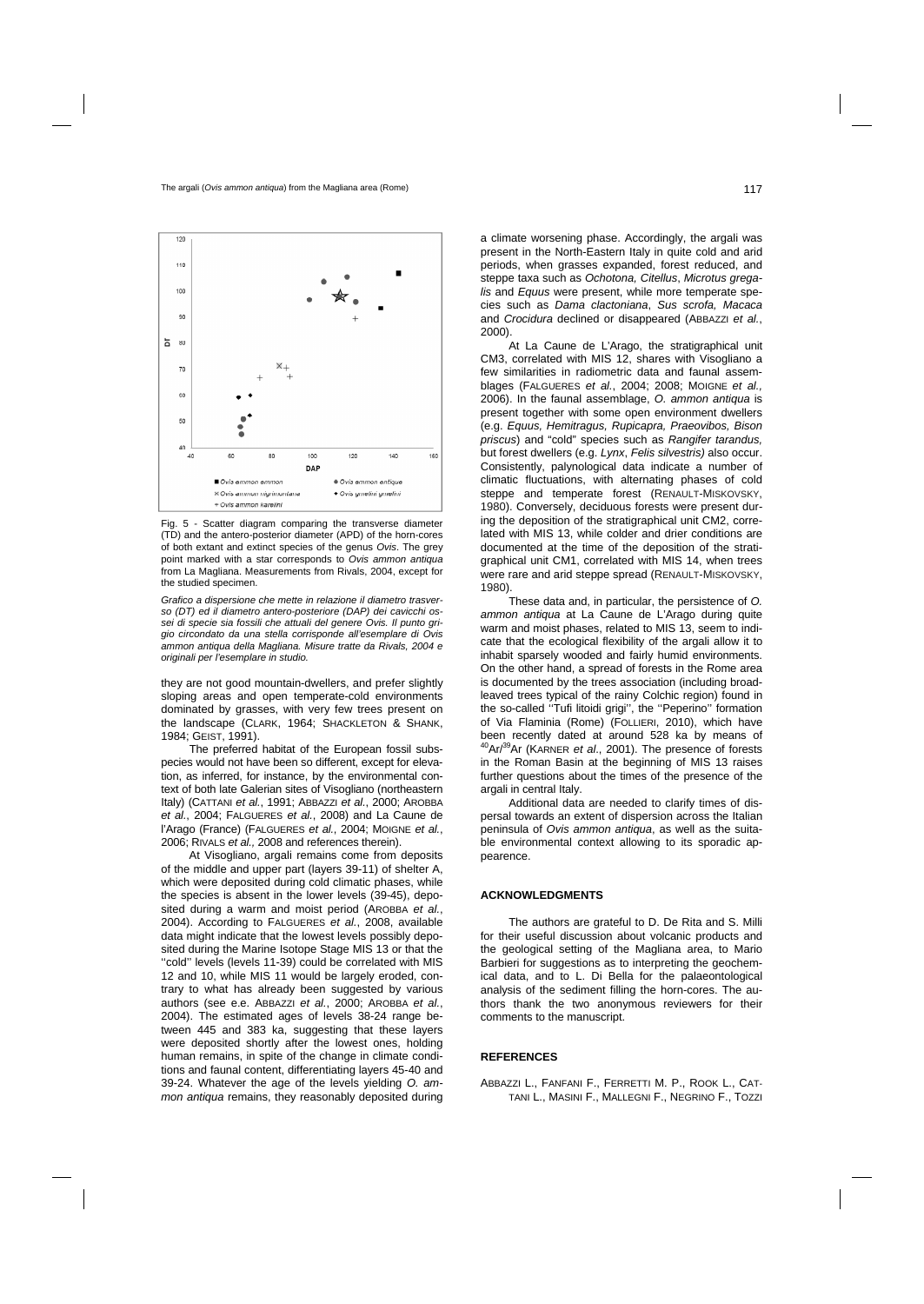

Fig. 5 - Scatter diagram comparing the transverse diameter (TD) and the antero-posterior diameter (APD) of the horn-cores of both extant and extinct species of the genus *Ovis*. The grey point marked with a star corresponds to *Ovis ammon antiqua* from La Magliana. Measurements from Rivals, 2004, except for the studied specimen.

*Grafico a dispersione che mette in relazione il diametro trasverso (DT) ed il diametro antero-posteriore (DAP) dei cavicchi ossei di specie sia fossili che attuali del genere Ovis. Il punto grigio circondato da una stella corrisponde all'esemplare di Ovis ammon antiqua della Magliana. Misure tratte da Rivals, 2004 e originali per l'esemplare in studio.* 

they are not good mountain-dwellers, and prefer slightly sloping areas and open temperate-cold environments dominated by grasses, with very few trees present on the landscape (CLARK, 1964; SHACKLETON & SHANK, 1984; GEIST, 1991).

The preferred habitat of the European fossil subspecies would not have been so different, except for elevation, as inferred, for instance, by the environmental context of both late Galerian sites of Visogliano (northeastern Italy) (CATTANI *et al.*, 1991; ABBAZZI *et al.*, 2000; AROBBA *et al.*, 2004; FALGUERES *et al.*, 2008) and La Caune de l'Arago (France) (FALGUERES *et al.*, 2004; MOIGNE *et al.*, 2006; RIVALS *et al.,* 2008 and references therein).

At Visogliano, argali remains come from deposits of the middle and upper part (layers 39-11) of shelter A, which were deposited during cold climatic phases, while the species is absent in the lower levels (39-45), deposited during a warm and moist period (AROBBA *et al.*, 2004). According to FALGUERES *et al.*, 2008, available data might indicate that the lowest levels possibly deposited during the Marine Isotope Stage MIS 13 or that the "cold" levels (levels 11-39) could be correlated with MIS 12 and 10, while MIS 11 would be largely eroded, contrary to what has already been suggested by various authors (see e.e. ABBAZZI *et al.*, 2000; AROBBA *et al.*, 2004). The estimated ages of levels 38-24 range between 445 and 383 ka, suggesting that these layers were deposited shortly after the lowest ones, holding human remains, in spite of the change in climate conditions and faunal content, differentiating layers 45-40 and 39-24. Whatever the age of the levels yielding *O. ammon antiqua* remains, they reasonably deposited during

a climate worsening phase. Accordingly, the argali was present in the North-Eastern Italy in quite cold and arid periods, when grasses expanded, forest reduced, and steppe taxa such as *Ochotona, Citellus*, *Microtus gregalis* and *Equus* were present, while more temperate species such as *Dama clactoniana*, *Sus scrofa, Macaca* and *Crocidura* declined or disappeared (ABBAZZI *et al.*, 2000).

At La Caune de L'Arago, the stratigraphical unit CM3, correlated with MIS 12, shares with Visogliano a few similarities in radiometric data and faunal assemblages (FALGUERES *et al.*, 2004; 2008; MOIGNE *et al.,*  2006). In the faunal assemblage, *O. ammon antiqua* is present together with some open environment dwellers (e.g. *Equus, Hemitragus, Rupicapra, Praeovibos, Bison priscus*) and "cold" species such as *Rangifer tarandus,*  but forest dwellers (e.g. *Lynx*, *Felis silvestris)* also occur. Consistently, palynological data indicate a number of climatic fluctuations, with alternating phases of cold steppe and temperate forest (RENAULT-MISKOVSKY, 1980). Conversely, deciduous forests were present during the deposition of the stratigraphical unit CM2, correlated with MIS 13, while colder and drier conditions are documented at the time of the deposition of the stratigraphical unit CM1, correlated with MIS 14, when trees were rare and arid steppe spread (RENAULT-MISKOVSKY, 1980).

These data and, in particular, the persistence of *O. ammon antiqua* at La Caune de L'Arago during quite warm and moist phases, related to MIS 13, seem to indicate that the ecological flexibility of the argali allow it to inhabit sparsely wooded and fairly humid environments. On the other hand, a spread of forests in the Rome area is documented by the trees association (including broadleaved trees typical of the rainy Colchic region) found in the so-called ''Tufi litoidi grigi'', the ''Peperino'' formation of Via Flaminia (Rome) (FOLLIERI, 2010), which have been recently dated at around 528 ka by means of 40Ar/39Ar (KARNER *et al*., 2001). The presence of forests in the Roman Basin at the beginning of MIS 13 raises further questions about the times of the presence of the argali in central Italy.

Additional data are needed to clarify times of dispersal towards an extent of dispersion across the Italian peninsula of *Ovis ammon antiqua*, as well as the suitable environmental context allowing to its sporadic appearence.

#### **ACKNOWLEDGMENTS**

The authors are grateful to D. De Rita and S. Milli for their useful discussion about volcanic products and the geological setting of the Magliana area, to Mario Barbieri for suggestions as to interpreting the geochemical data, and to L. Di Bella for the palaeontological analysis of the sediment filling the horn-cores. The authors thank the two anonymous reviewers for their comments to the manuscript.

### **REFERENCES**

ABBAZZI L., FANFANI F., FERRETTI M. P., ROOK L., CAT-TANI L., MASINI F., MALLEGNI F., NEGRINO F., TOZZI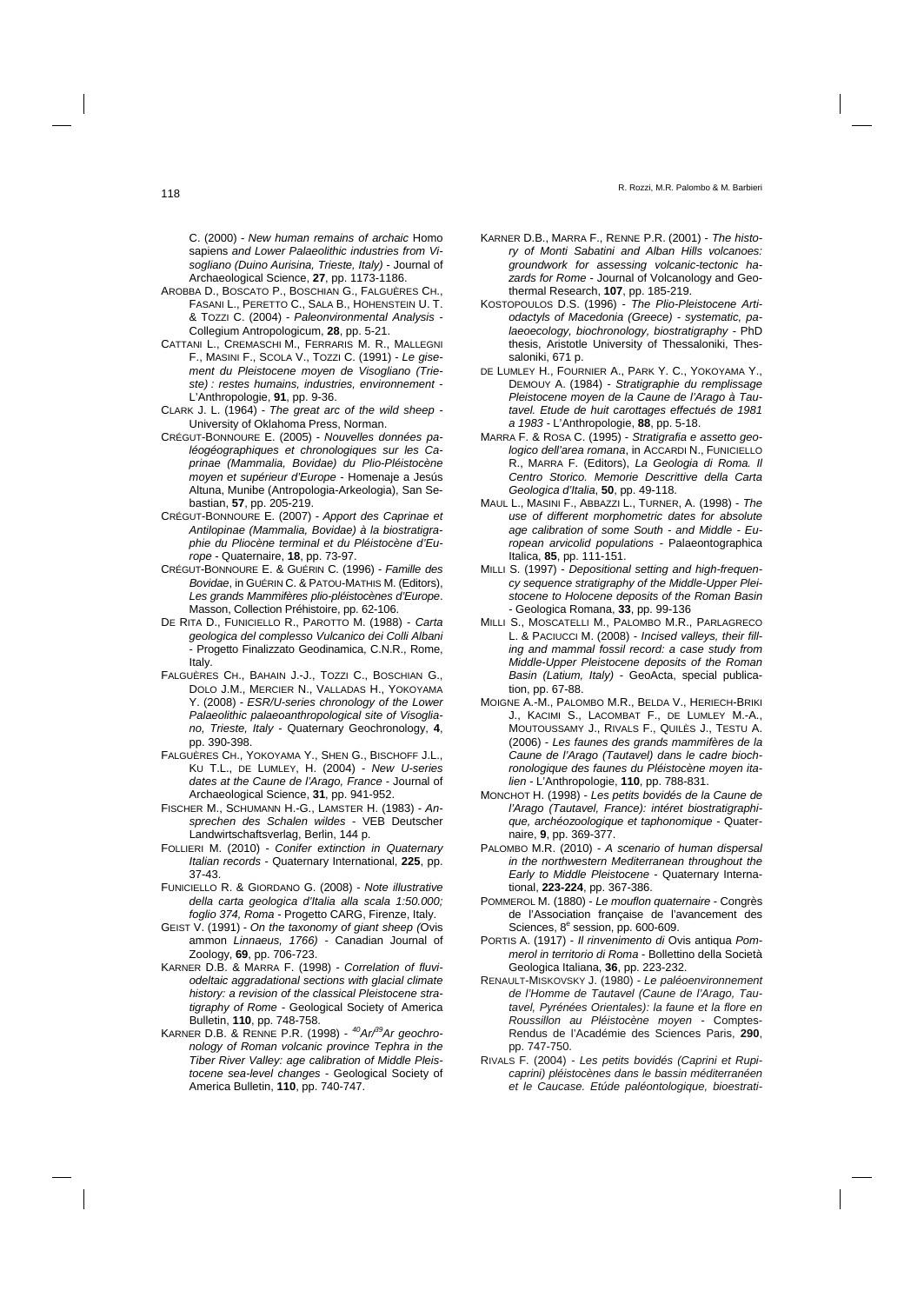C. (2000) - *New human remains of archaic* Homo sapiens *and Lower Palaeolithic industries from Visogliano (Duino Aurisina, Trieste, Italy) -* Journal of Archaeological Science, **27**, pp. 1173-1186.

- AROBBA D., BOSCATO P., BOSCHIAN G., FALGUÈRES CH., FASANI L., PERETTO C., SALA B., HOHENSTEIN U. T. & TOZZI C. (2004) - *Paleonvironmental Analysis -*  Collegium Antropologicum, **28**, pp. 5-21.
- CATTANI L., CREMASCHI M., FERRARIS M. R., MALLEGNI F., MASINI F., SCOLA V., TOZZI C. (1991) - *Le gisement du Pleistocene moyen de Visogliano (Trieste) : restes humains, industries, environnement -*  L'Anthropologie, **91**, pp. 9-36.
- CLARK J. L. (1964) *The great arc of the wild sheep*  University of Oklahoma Press, Norman.
- CRÉGUT-BONNOURE E. (2005) *Nouvelles données paléogéographiques et chronologiques sur les Caprinae (Mammalia, Bovidae) du Plio-Pléistocène moyen et supérieur d'Europe* - Homenaje a Jesús Altuna, Munibe (Antropologia-Arkeologia), San Sebastian, **57**, pp. 205-219.
- CRÉGUT-BONNOURE E. (2007) *Apport des Caprinae et Antilopinae (Mammalia, Bovidae) à la biostratigraphie du Pliocène terminal et du Pléistocène d'Europe* - Quaternaire, **18**, pp. 73-97.
- CRÉGUT-BONNOURE E. & GUÉRIN C. (1996) *Famille des Bovidae*, in GUÉRIN C. & PATOU-MATHIS M. (Editors), *Les grands Mammifères plio-pléistocènes d'Europe*. Masson, Collection Préhistoire, pp. 62-106.
- DE RITA D., FUNICIELLO R., PAROTTO M. (1988) *Carta geologica del complesso Vulcanico dei Colli Albani*  - Progetto Finalizzato Geodinamica, C.N.R., Rome, Italy.
- FALGUÈRES CH., BAHAIN J.-J., TOZZI C., BOSCHIAN G., DOLO J.M., MERCIER N., VALLADAS H., YOKOYAMA Y. (2008) - *ESR/U-series chronology of the Lower Palaeolithic palaeoanthropological site of Visogliano, Trieste, Italy* - Quaternary Geochronology, **4**, pp. 390-398.
- FALGUÈRES CH., YOKOYAMA Y., SHEN G., BISCHOFF J.L., KU T.L., DE LUMLEY, H. (2004) - *New U-series dates at the Caune de l'Arago, France* - Journal of Archaeological Science, **31**, pp. 941-952.
- FISCHER M., SCHUMANN H.-G., LAMSTER H. (1983) *Ansprechen des Schalen wildes* - VEB Deutscher Landwirtschaftsverlag, Berlin, 144 p.
- FOLLIERI M. (2010) *Conifer extinction in Quaternary Italian records* - Quaternary International, **225**, pp. 37-43.
- FUNICIELLO R. & GIORDANO G. (2008) *Note illustrative della carta geologica d'Italia alla scala 1:50.000; foglio 374, Roma* - Progetto CARG, Firenze, Italy.
- GEIST V. (1991) *On the taxonomy of giant sheep (*Ovis ammon *Linnaeus, 1766)* - Canadian Journal of Zoology, **69**, pp. 706-723.
- KARNER D.B. & MARRA F. (1998) *Correlation of fluviodeltaic aggradational sections with glacial climate history: a revision of the classical Pleistocene stratigraphy of Rome -* Geological Society of America Bulletin, **110**, pp. 748-758.
- KARNER D.B. & RENNE P.R. (1998) *40Ar/39Ar geochronology of Roman volcanic province Tephra in the Tiber River Valley: age calibration of Middle Pleistocene sea-level changes* - Geological Society of America Bulletin, **110**, pp. 740-747.
- KARNER D.B., MARRA F., RENNE P.R. (2001) *The history of Monti Sabatini and Alban Hills volcanoes: groundwork for assessing volcanic-tectonic hazards for Rome* - Journal of Volcanology and Geothermal Research, **107**, pp. 185-219.
- KOSTOPOULOS D.S. (1996) *The Plio-Pleistocene Artiodactyls of Macedonia (Greece) - systematic, palaeoecology, biochronology, biostratigraphy -* PhD thesis, Aristotle University of Thessaloniki, Thessaloniki, 671 p.
- DE LUMLEY H., FOURNIER A., PARK Y. C., YOKOYAMA Y., DEMOUY A. (1984) - *Stratigraphie du remplissage Pleistocene moyen de la Caune de l'Arago à Tautavel. Etude de huit carottages effectués de 1981 a 1983 -* L'Anthropologie, **88**, pp. 5-18.
- MARRA F. & ROSA C. (1995) *Stratigrafia e assetto geologico dell'area romana*, in ACCARDI N., FUNICIELLO R., MARRA F. (Editors), *La Geologia di Roma. Il Centro Storico. Memorie Descrittive della Carta Geologica d'Italia*, **50**, pp. 49-118.
- MAUL L., MASINI F., ABBAZZI L., TURNER, A. (1998) *The use of different morphometric dates for absolute age calibration of some South - and Middle - European arvicolid populations -* Palaeontographica Italica, **85**, pp. 111-151.
- MILLI S. (1997) *Depositional setting and high-frequency sequence stratigraphy of the Middle-Upper Pleistocene to Holocene deposits of the Roman Basin* - Geologica Romana, **33**, pp. 99-136
- MILLI S., MOSCATELLI M., PALOMBO M.R., PARLAGRECO L. & PACIUCCI M. (2008) - *Incised valleys, their filling and mammal fossil record: a case study from Middle-Upper Pleistocene deposits of the Roman Basin (Latium, Italy)* - GeoActa, special publication, pp. 67-88.
- MOIGNE A.-M., PALOMBO M.R., BELDA V., HERIECH-BRIKI J., KACIMI S., LACOMBAT F., DE LUMLEY M.-A., MOUTOUSSAMY J., RIVALS F., QUILÈS J., TESTU A. (2006) - *Les faunes des grands mammifères de la Caune de l'Arago (Tautavel) dans le cadre biochronologique des faunes du Pléistocène moyen italien -* L'Anthropologie, **110**, pp. 788-831.
- MONCHOT H. (1998) *Les petits bovidés de la Caune de l'Arago (Tautavel, France): intéret biostratigraphique, archéozoologique et taphonomique* - Quaternaire, **9**, pp. 369-377.
- PALOMBO M.R. (2010) *A scenario of human dispersal in the northwestern Mediterranean throughout the Early to Middle Pleistocene* - Quaternary International, **223-224**, pp. 367-386.
- POMMEROL M. (1880) *Le mouflon quaternaire* Congrès de l'Association française de l'avancement des Sciences, 8<sup>e</sup> session, pp. 600-609.
- PORTIS A. (1917) *Il rinvenimento di* Ovis antiqua *Pommerol in territorio di Roma* - Bollettino della Società Geologica Italiana, **36**, pp. 223-232.
- RENAULT-MISKOVSKY J. (1980) *Le paléoenvironnement de l'Homme de Tautavel (Caune de l'Arago, Tautavel, Pyrénées Orientales): la faune et la flore en Roussillon au Pléistocène moyen -* Comptes-Rendus de l'Académie des Sciences Paris, **290**, pp. 747-750.
- RIVALS F. (2004)  *Les petits bovidés (Caprini et Rupicaprini) pléistocènes dans le bassin méditerranéen et le Caucase. Etúde paléontologique, bioestrati-*